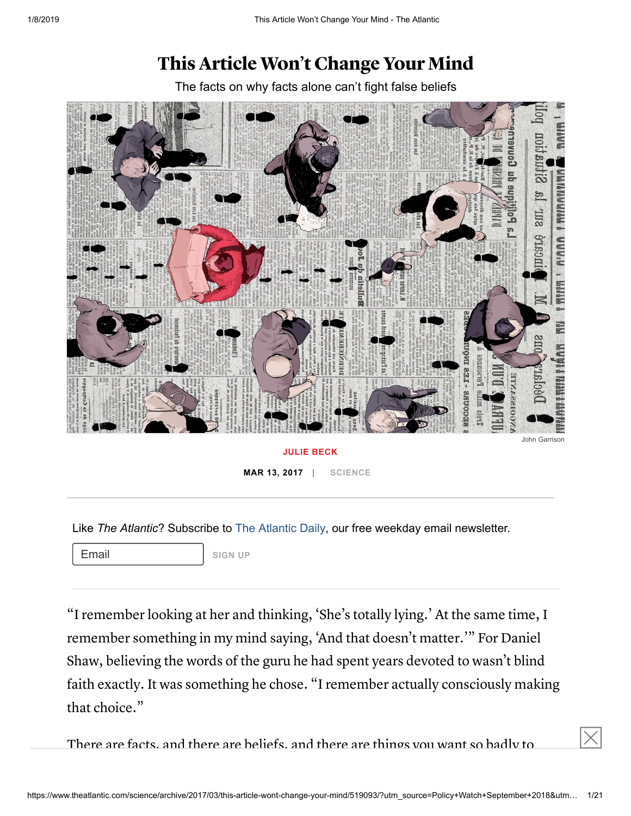# This Article Won't Change Your Mind

The facts on why facts alone can't fight false beliefs



**MAR 13, 2017 | [SCIENCE](https://www.theatlantic.com/science/)**

Like *The Atlantic*? Subscribe to [The Atlantic Daily ,](http://www.theatlantic.com/newsletters/daily/) our free weekday email newsletter.

Email **SIGN UP** 

"I remember looking at her and thinking, 'She's totally lying.' At the same time, I remember something in my mind saying, 'And that doesn't matter.'" For Daniel Shaw, believing the words of the guru he had spent years devoted to wasn't blind faith exactly. It was something he chose. "I remember actually consciously making that choice."

There are facts, and there are beliefs, and there are things you want so badly to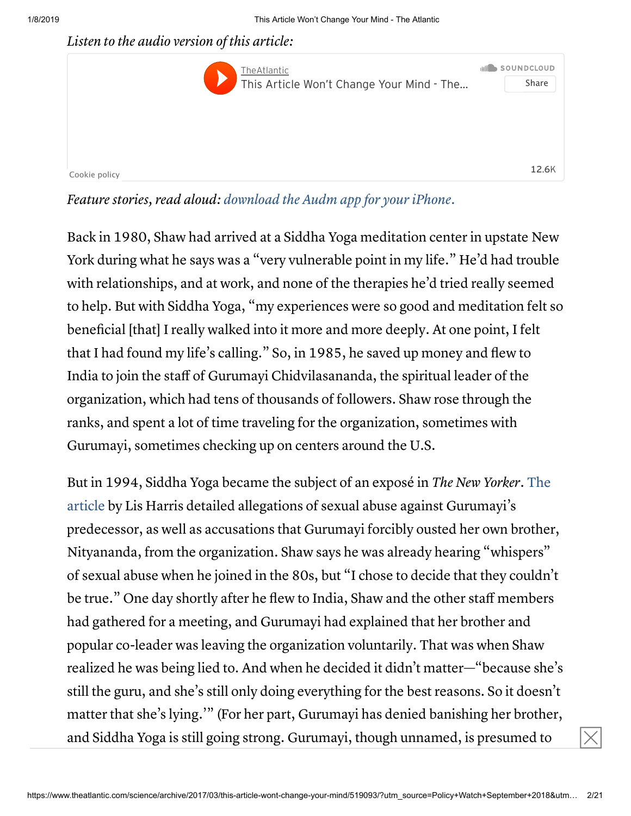Listen to the audio version of this article:



Feature stories, read aloud: [download](https://goo.gl/gqDObw) the Audm app for your iPhone.

Back in 1980, Shaw had arrived at a Siddha Yoga meditation center in upstate New York during what he says was a "very vulnerable point in my life." He'd had trouble with relationships, and at work, and none of the therapies he'd tried really seemed to help. But with Siddha Yoga, "my experiences were so good and meditation felt so beneficial [that] I really walked into it more and more deeply. At one point, I felt that I had found my life's calling." So, in 1985, he saved up money and flew to India to join the staff of Gurumayi Chidvilasananda, the spiritual leader of the organization, which had tens of thousands of followers. Shaw rose through the ranks, and spent a lot of time traveling for the organization, sometimes with Gurumayi, sometimes checking up on centers around the U.S.

But in 1994, Siddha Yoga became the subject of an exposé in The New Yorker. The article by Lis Harris detailed allegations of sexual abuse against [Gurumayi's](http://www.newyorker.com/magazine/1994/11/14/o-guru-guru-guru) predecessor, as well as accusations that Gurumayi forcibly ousted her own brother, Nityananda, from the organization. Shaw says he was already hearing "whispers" of sexual abuse when he joined in the 80s, but "I chose to decide that they couldn't be true." One day shortly after he flew to India, Shaw and the other staff members had gathered for a meeting, and Gurumayi had explained that her brother and popular co-leader was leaving the organization voluntarily. That was when Shaw realized he was being lied to. And when he decided it didn't matter—"because she's still the guru, and she's still only doing everything for the best reasons. So it doesn't matter that she's lying.'" (For her part, Gurumayi has denied banishing her brother, and Siddha Yoga is still going strong. Gurumayi, though unnamed, is presumed to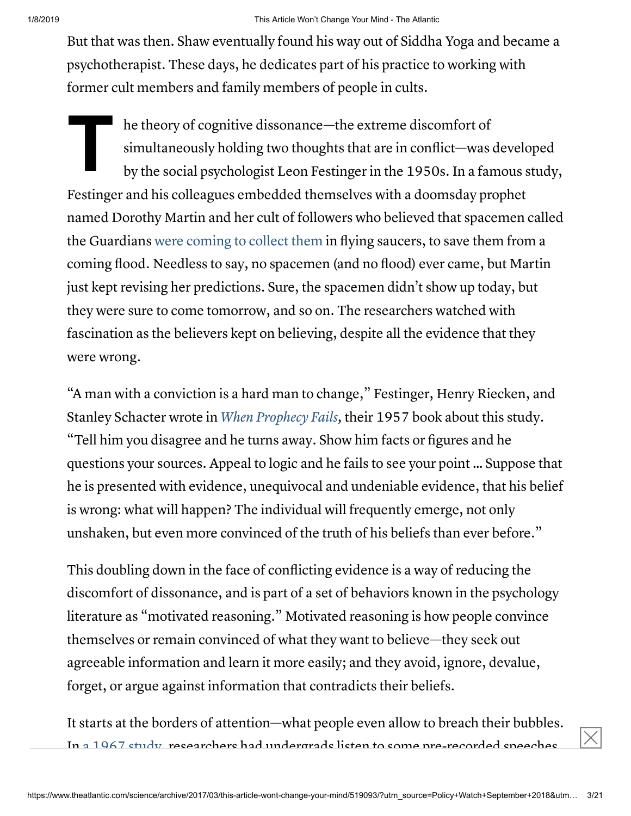But that was then. Shaw eventually found his way out of Siddha Yoga and became a psychotherapist. These days, he dedicates part of his practice to working with former cult members and family members of people in cults.

**T**<br> **T**<br> **S**<br> **D**<br> **D** he theory of cognitive dissonance—the extreme discomfort of simultaneously holding two thoughts that are in conflict—was developed by the social psychologist Leon Festinger in the 1950s. In a famous study, Festinger and his colleagues embedded themselves with a doomsday prophet named Dorothy Martin and her cult of followers who believed that spacemen called the Guardians were [coming to](https://www.theatlantic.com/health/archive/2015/12/the-christmas-the-aliens-didnt-come/421122/) collect them in flying saucers, to save them from a coming flood. Needless to say, no spacemen (and no flood) ever came, but Martin just kept revising her predictions. Sure, the spacemen didn't show up today, but they were sure to come tomorrow, and so on. The researchers watched with fascination as the believers kept on believing, despite all the evidence that they were wrong.

"A man with a conviction is a hard man to change," Festinger, Henry Riecken, and Stanley Schacter wrote in When [Prophecy](https://ia801405.us.archive.org/31/items/pdfy-eDNpDzTy_dR1b0iB/Festinger-Riecken-Schachter-When-Prophecy-Fails-1956.pdf) Fails, their 1957 book about this study. "Tell him you disagree and he turns away. Show him facts or figures and he questions your sources. Appeal to logic and he fails to see your point … Suppose that he is presented with evidence, unequivocal and undeniable evidence, that his belief is wrong: what will happen? The individual will frequently emerge, not only unshaken, but even more convinced of the truth of his beliefs than ever before."

This doubling down in the face of conflicting evidence is a way of reducing the discomfort of dissonance, and is part of a set of behaviors known in the psychology literature as "motivated reasoning." Motivated reasoning is how people convince themselves or remain convinced of what they want to believe—they seek out agreeable information and learn it more easily; and they avoid, ignore, devalue, forget, or argue against information that contradicts their beliefs.

It starts at the borders of attention—what people even allow to breach their bubbles. In a [1967](http://psycnet.apa.org/index.cfm?fa=buy.optionToBuy&id=2005-11104-001) study, researchers had undergrads listen to some pre-recorded speeches,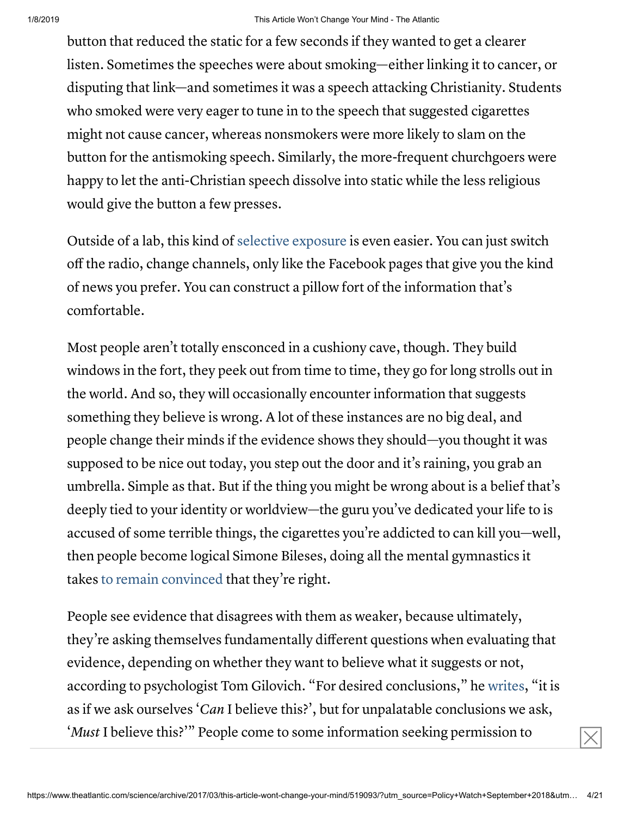button that reduced the static for a few seconds if they wanted to get a clearer listen. Sometimes the speeches were about smoking—either linking it to cancer, or disputing that link—and sometimes it was a speech attacking Christianity. Students who smoked were very eager to tune in to the speech that suggested cigarettes might not cause cancer, whereas nonsmokers were more likely to slam on the button for the antismoking speech. Similarly, the more-frequent churchgoers were happy to let the anti-Christian speech dissolve into static while the less religious would give the button a few presses.

Outside of a lab, this kind of selective [exposure](https://www.ncbi.nlm.nih.gov/pmc/articles/PMC4797953/) is even easier. You can just switch off the radio, change channels, only like the Facebook pages that give you the kind of news you prefer. You can construct a pillow fort of the information that's comfortable.

Most people aren't totally ensconced in a cushiony cave, though. They build windows in the fort, they peek out from time to time, they go for long strolls out in the world. And so, they will occasionally encounter information that suggests something they believe is wrong. A lot of these instances are no big deal, and people change their minds if the evidence shows they should—you thought it was supposed to be nice out today, you step out the door and it's raining, you grab an umbrella. Simple as that. But if the thing you might be wrong about is a belief that's deeply tied to your identity or worldview—the guru you've dedicated your life to is accused of some terrible things, the cigarettes you're addicted to can kill you—well, then people become logical Simone Bileses, doing all the mental gymnastics it takes to remain [convinced](http://faculty.wcas.northwestern.edu/~jnd260/pub/Druckman%20Critical%20Review%202012.pdf) that they're right.

People see evidence that disagrees with them as weaker, because ultimately, they're asking themselves fundamentally different questions when evaluating that evidence, depending on whether they want to believe what it suggests or not, according to psychologist Tom Gilovich. "For desired conclusions," he [writes](https://www.amazon.com/How-Know-What-Isnt-Fallibility/dp/0029117062), "it is as if we ask ourselves 'Can I believe this?', but for unpalatable conclusions we ask, '*Must* I believe this?'" People come to some information seeking permission to  $\boxed{\times}$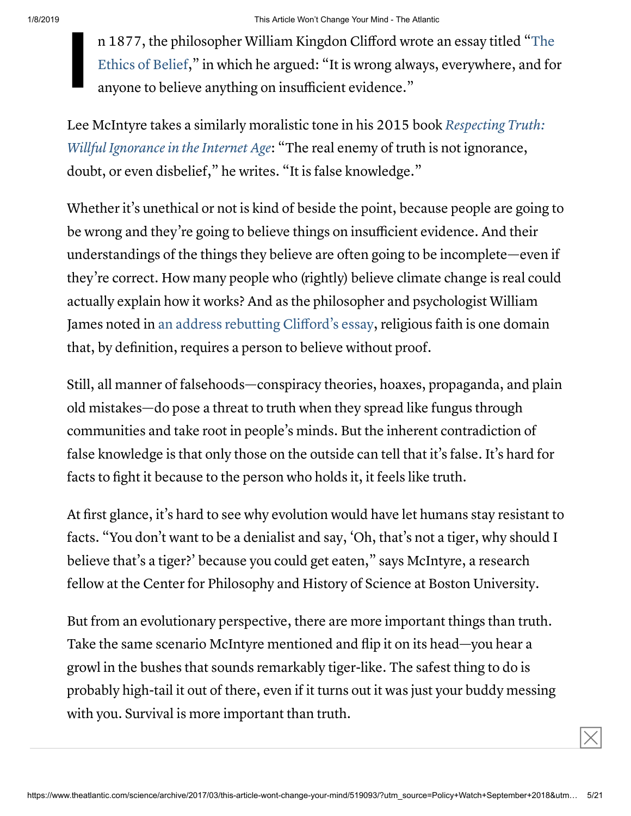**I** n 1877, the philosopher William Kingdon Clifford wrote an essay titled "The Ethics of Belief," in which he argued: "It is wrong always, [everywhere,](http://people.brandeis.edu/~teuber/Clifford_ethics.pdf) and for anyone to believe anything on insufficient evidence."

Lee McIntyre takes a similarly moralistic tone in his 2015 book Respecting Truth: Willful Ignorance in the Internet Age: "The real enemy of truth is not [ignorance,](https://www.google.com/url?sa=t&rct=j&q=&esrc=s&source=web&cd=1&cad=rja&uact=8&ved=0ahUKEwjPlr_1xanSAhUJ2mMKHciXD-oQFggcMAA&url=https%3A%2F%2Fwww.amazon.com%2FRespecting-Truth-Willful-Ignorance-Internet%2Fdp%2F1138888818&usg=AFQjCNHqgdPJaMIk-Hfy-NwximVPawz0og&sig2=BPCkdzK8niqfkcDiWTm6IQ) doubt, or even disbelief," he writes. "It is false knowledge."

Whether it's unethical or not is kind of beside the point, because people are going to be wrong and they're going to believe things on insufficient evidence. And their understandings of the things they believe are often going to be incomplete—even if they're correct. How many people who (rightly) believe climate change is real could actually explain how it works? And as the philosopher and psychologist William James noted in an address [rebutting Clifford's](http://educ.jmu.edu/~omearawm/ph101willtobelieve.html) essay, religious faith is one domain that, by definition, requires a person to believe without proof.

Still, all manner of falsehoods—conspiracy theories, hoaxes, propaganda, and plain old mistakes—do pose a threat to truth when they spread like fungus through communities and take root in people's minds. But the inherent contradiction of false knowledge is that only those on the outside can tell that it's false. It's hard for facts to fight it because to the person who holds it, it feels like truth.

At first glance, it's hard to see why evolution would have let humans stay resistant to facts. "You don't want to be a denialist and say, 'Oh, that's not a tiger, why should I believe that's a tiger?' because you could get eaten," says McIntyre, a research fellow at the Center for Philosophy and History of Science at Boston University.

But from an evolutionary perspective, there are more important things than truth. Take the same scenario McIntyre mentioned and flip it on its head—you hear a growl in the bushes that sounds remarkably tiger-like. The safest thing to do is probably high-tail it out of there, even if it turns out it was just your buddy messing with you. Survival is more important than truth.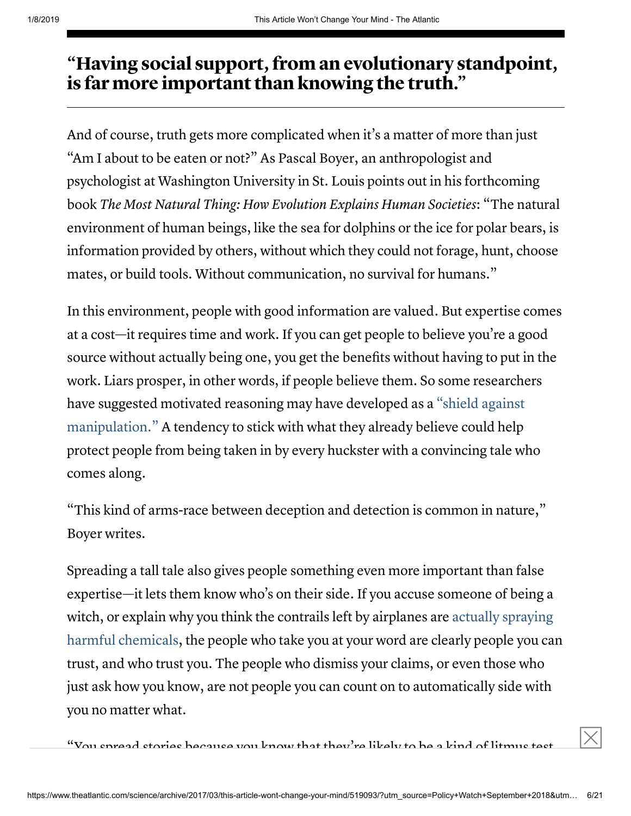## "Having social support, from an evolutionary standpoint, is far more important than knowing the truth."

And of course, truth gets more complicated when it's a matter of more than just "Am I about to be eaten or not?" As Pascal Boyer, an anthropologist and psychologist at Washington University in St. Louis points out in his forthcoming book The Most Natural Thing: How Evolution Explains Human Societies: "The natural environment of human beings, like the sea for dolphins or the ice for polar bears, is information provided by others, without which they could not forage, hunt, choose mates, or build tools. Without communication, no survival for humans."

In this environment, people with good information are valued. But expertise comes at a cost—it requires time and work. If you can get people to believe you're a good source without actually being one, you get the benefits without having to put in the work. Liars prosper, in other words, if people believe them. So some researchers have suggested motivated reasoning may have developed as a "shield against [manipulation."](https://books.google.com/books?id=SNikCgAAQBAJ&pg=PA1097&lpg=PA1097&dq=Hence,+while+motivated+reasoning+is+often+portrayed+as+a+faulty+aspect+of+human+reasoning,+an+evolutionary+perspective+suggests+that+one+of+its+core+adaptive+functions+is+to+set+up+an+effective+shield+against+manipulation.&source=bl&ots=jbxe-B6m-8&sig=HYEerO4wTu97RgG0gSozTBk-M34&hl=en&sa=X&ved=0ahUKEwiYhNzwm47SAhWl14MKHaSLAA4Q6AEIHDAA#v=onepage&q&f=false) A tendency to stick with what they already believe could help protect people from being taken in by every huckster with a convincing tale who comes along.

"This kind of arms-race between deception and detection is common in nature," Boyer writes.

Spreading a tall tale also gives people something even more important than false expertise—it lets them know who's on their side. If you accuse someone of being a witch, or explain why you think the contrails left by airplanes are actually spraying harmful [chemicals,](https://en.wikipedia.org/wiki/Chemtrail_conspiracy_theory) the people who take you at your word are clearly people you can trust, and who trust you. The people who dismiss your claims, or even those who just ask how you know, are not people you can count on to automatically side with you no matter what.

 $\mathrm{``V}$ ou cnread stories because you know that they're likely to be a kind of litmus test,  $\mathrm{''}$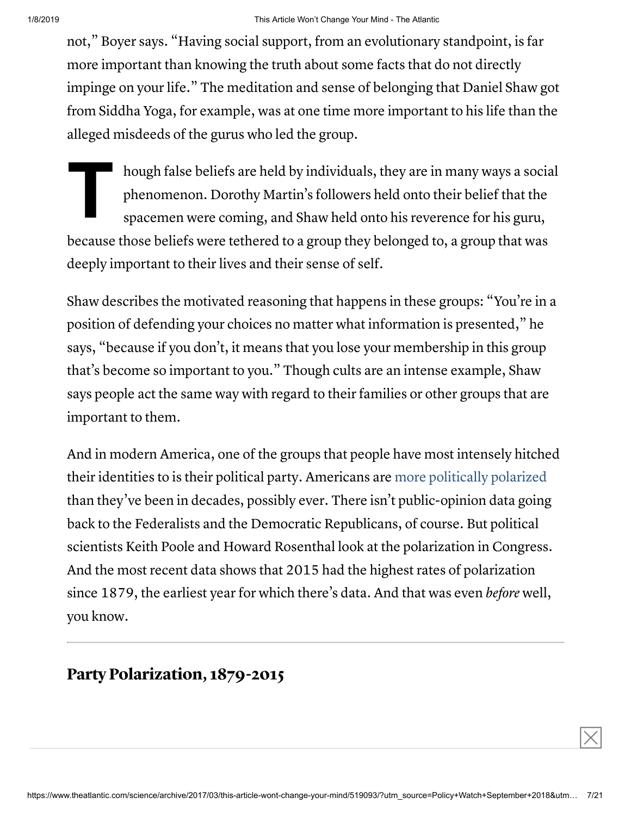not," Boyer says. "Having social support, from an evolutionary standpoint, is far more important than knowing the truth about some facts that do not directly impinge on your life." The meditation and sense of belonging that Daniel Shaw got from Siddha Yoga, for example, was at one time more important to his life than the alleged misdeeds of the gurus who led the group.

**T**<br> **P**<br> **P**<br> **S** hough false beliefs are held by individuals, they are in many ways a social phenomenon. Dorothy Martin's followers held onto their belief that the spacemen were coming, and Shaw held onto his reverence for his guru, because those beliefs were tethered to a group they belonged to, a group that was deeply important to their lives and their sense of self.

Shaw describes the motivated reasoning that happens in these groups: "You're in a position of defending your choices no matter what information is presented," he says, "because if you don't, it means that you lose your membership in this group that's become so important to you." Though cults are an intense example, Shaw says people act the same way with regard to their families or other groups that are important to them.

And in modern America, one of the groups that people have most intensely hitched their identities to is their political party. Americans are more [politically](http://www.people-press.org/2014/06/12/section-1-growing-ideological-consistency/#interactive) polarized than they've been in decades, possibly ever. There isn't public-opinion data going back to the Federalists and the Democratic Republicans, of course. But political scientists Keith Poole and Howard Rosenthal look at the polarization in Congress. And the most recent data shows that 2015 had the highest rates of polarization since 1879, the earliest year for which there's data. And that was even before well, you know.

Party Polarization, 1879-2015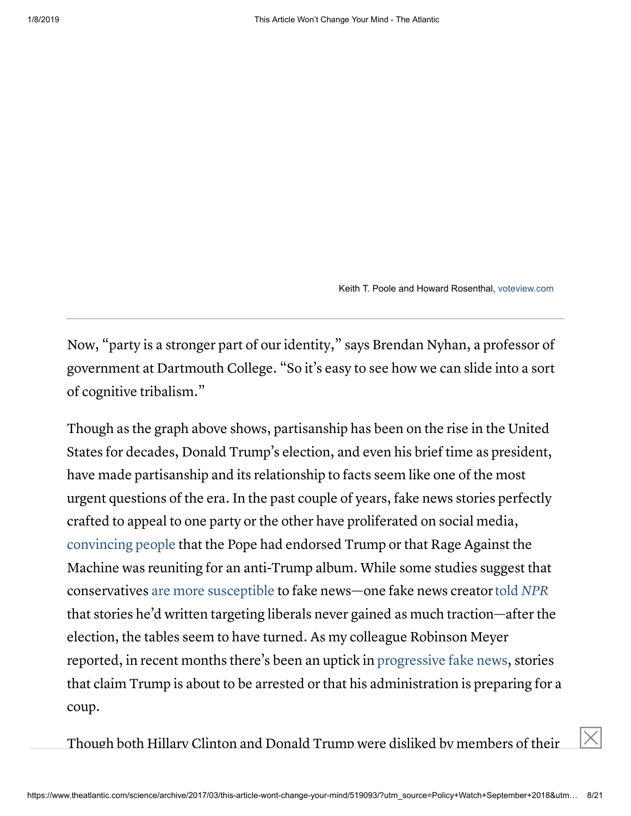Keith T. Poole and Howard Rosenthal, [voteview.com](http://voteview.com/)

 $\boxed{\times}$ 

Now, "party is a stronger part of our identity," says Brendan Nyhan, a professor of government at Dartmouth College. "So it's easy to see how we can slide into a sort of cognitive tribalism."

Though as the graph above shows, partisanship has been on the rise in the United States for decades, Donald Trump's election, and even his brief time as president, have made partisanship and its relationship to facts seem like one of the most urgent questions of the era. In the past couple of years, fake news stories perfectly crafted to appeal to one party or the other have proliferated on social media, [convincing people](https://www.buzzfeed.com/craigsilverman/top-fake-news-of-2016?utm_term=.gj87aDxrP#.eyXlR4vQW) that the Pope had endorsed Trump or that Rage Against the Machine was reuniting for an anti-Trump album. While some studies suggest that conservatives are more [susceptible](https://www.google.com/url?sa=t&rct=j&q=&esrc=s&source=web&cd=1&cad=rja&uact=8&ved=0ahUKEwjbwPOR85LSAhUKRSYKHRNAAg8QFggaMAA&url=https%3A%2F%2Fwww.theatlantic.com%2Fscience%2Farchive%2F2017%2F02%2Fwhy-fake-news-targeted-trump-supporters%2F515433%2F&usg=AFQjCNGF7MaegeH6j5tiC038Z96ERWAEkQ&sig2=wOOMxLhQbIuUXKvOo2LCNg) to fake news—one fake news creatortold [NPR](http://www.npr.org/sections/alltechconsidered/2016/11/23/503146770/npr-finds-the-head-of-a-covert-fake-news-operation-in-the-suburbs) that stories he'd written targeting liberals never gained as much traction—after the election, the tables seem to have turned. As my colleague Robinson Meyer reported, in recent months there's been an uptick in [progressive](https://www.theatlantic.com/technology/archive/2017/02/viva-la-resistance-content/515532/) fake news, stories that claim Trump is about to be arrested or that his administration is preparing for a coup.

Though both Hillary Clinton and Donald Trump were disliked by members of their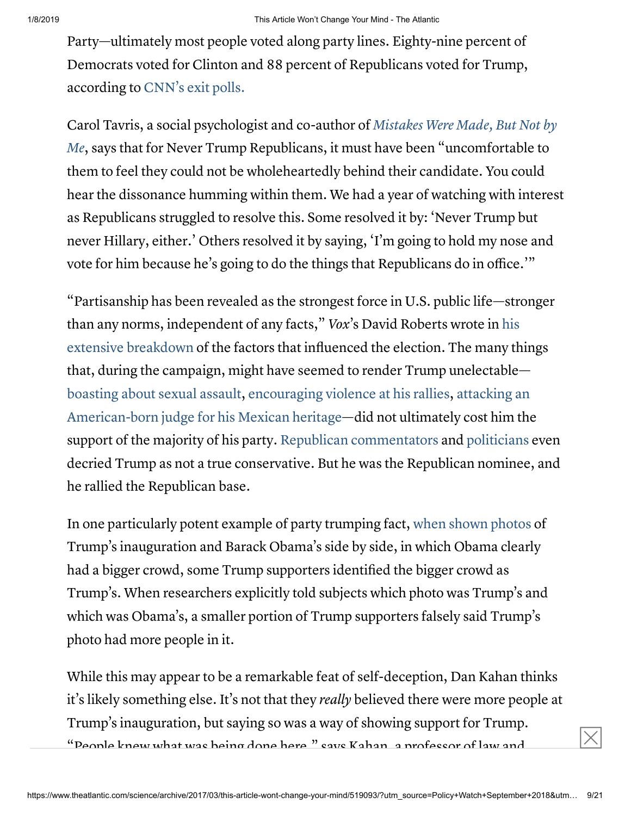Party—ultimately most people voted along party lines. Eighty-nine percent of Democrats voted for Clinton and 88 percent of Republicans voted for Trump, according to [CNN's](http://www.cnn.com/election/results/exit-polls) exit polls.

Carol Tavris, a social psychologist and co-author of Mistakes Were Made, But Not by Me, says that for Never Trump Republicans, it must have been ["uncomfortable](https://www.amazon.com/Mistakes-Were-Made-But-Not/dp/B004HQM5S8/ref=pd_sbs_14_img_2?_encoding=UTF8&psc=1&refRID=B4HZAWWENEYPW2ZNERJQ) to them to feel they could not be wholeheartedly behind their candidate. You could hear the dissonance humming within them. We had a year of watching with interest as Republicans struggled to resolve this. Some resolved it by: 'Never Trump but never Hillary, either.' Others resolved it by saying, 'I'm going to hold my nose and vote for him because he's going to do the things that Republicans do in office.'"

"Partisanship has been revealed as the strongest force in U.S. public life—stronger than any norms, [independent](http://www.vox.com/policy-and-politics/2016/11/30/13631532/everything-mattered-2016-presidential-election) of any facts," Vox's David Roberts wrote in his extensive breakdown of the factors that influenced the election. The many things that, during the campaign, might have seemed to render Trump unelectable [boasting about](https://www.washingtonpost.com/politics/trump-recorded-having-extremely-lewd-conversation-about-women-in-2005/2016/10/07/3b9ce776-8cb4-11e6-bf8a-3d26847eeed4_story.html?tid=a_inl&utm_term=.63caf947e844) sexual assault, [encouraging violence](https://www.nytimes.com/video/us/100000004269364/trump-and-violence.html) at his rallies, attacking an American-born judge for his Mexican heritage—did not ultimately cost him the support of the majority of his party. [Republican](http://www.businessinsider.com/rush-limbaugh-donald-trump-not-conservative-2016-9) [commentators](http://www.nationalreview.com/article/435045/donald-trump-not-conservative-gop-doesnt-care) and [politicians](http://www.nbcnews.com/card/trump-barely-republican-according-boehner-n664896) even decried Trump as not a true conservative. But he was the Republican nominee, and he rallied the Republican base.

In one particularly potent example of party trumping fact, when shown [photos](https://www.washingtonpost.com/news/monkey-cage/wp/2017/01/25/we-asked-people-which-inauguration-crowd-was-bigger-heres-what-they-said/?utm_term=.1f5d56d459e0) of Trump's inauguration and Barack Obama's side by side, in which Obama clearly had a bigger crowd, some Trump supporters identified the bigger crowd as Trump's. When researchers explicitly told subjects which photo was Trump's and which was Obama's, a smaller portion of Trump supporters falsely said Trump's photo had more people in it.

While this may appear to be a remarkable feat of self-deception, Dan Kahan thinks it's likely something else. It's not that they *really* believed there were more people at Trump's inauguration, but saying so was a way of showing support for Trump. "Deople knew what was being done here," says Kahan, a professor of law and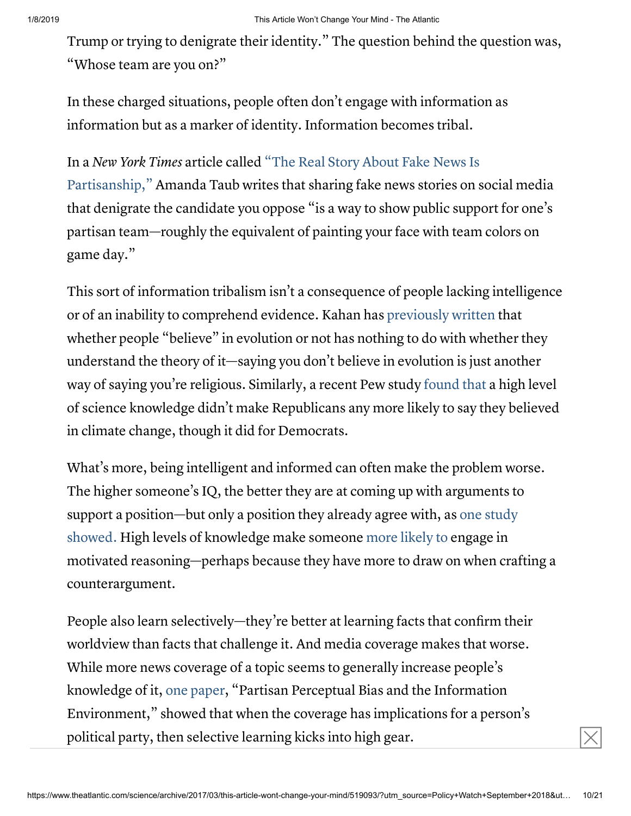Trump or trying to denigrate their identity." The question behind the question was, "Whose team are you on?"

In these charged situations, people often don't engage with information as information but as a marker of identity. Information becomes tribal.

In a New York Times article called "The Real Story About Fake News Is [Partisanship,"](https://www.nytimes.com/2017/01/11/upshot/the-real-story-about-fake-news-is-partisanship.html?_r=1) Amanda Taub writes that sharing fake news stories on social media that denigrate the candidate you oppose "is a way to show public support for one's partisan team—roughly the equivalent of painting your face with team colors on game day."

This sort of information tribalism isn't a consequence of people lacking intelligence or of an inability to comprehend evidence. Kahan has [previously](http://www.culturalcognition.net/blog/2014/5/24/weekend-update-youd-have-to-be-science-illiterate-to-think-b.html) written that whether people "believe" in evolution or not has nothing to do with whether they understand the theory of it—saying you don't believe in evolution is just another way of saying you're religious. Similarly, a recent Pew study [found](https://www.theatlantic.com/science/archive/2016/10/republicans-can-understand-science-and-still-deny-climate-change/503003/) that a high level of science knowledge didn't make Republicans any more likely to say they believed in climate change, though it did for Democrats.

What's more, being intelligent and informed can often make the problem worse. The higher someone's IQ, the better they are at coming up with arguments to support a [position—but](http://psycnet.apa.org/psycinfo/1991-97717-005) only a position they already agree with, as one study showed. High levels of knowledge make someone more [likely](http://www.dartmouth.edu/~nyhan/nature-origins-misperceptions.pdf) to engage in motivated reasoning—perhaps because they have more to draw on when crafting a counterargument.

People also learn selectively—they're better at learning facts that confirm their worldview than facts that challenge it. And media coverage makes that worse. While more news coverage of a topic seems to generally increase people's knowledge of it, one [paper](http://www.jasonbarabas.com/images/JeritBarabas_PB_FinalVersion.pdf), "Partisan Perceptual Bias and the Information Environment," showed that when the coverage has implications for a person's political party, then selective learning kicks into high gear.  $|\times|$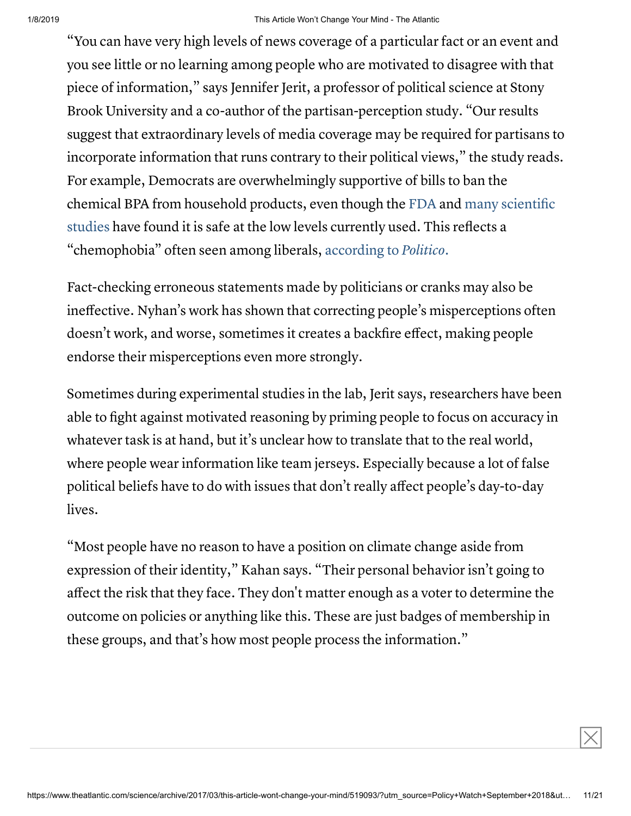"You can have very high levels of news coverage of a particular fact or an event and you see little or no learning among people who are motivated to disagree with that piece of information," says Jennifer Jerit, a professor of political science at Stony Brook University and a co-author of the partisan-perception study. "Our results suggest that extraordinary levels of media coverage may be required for partisans to incorporate information that runs contrary to their political views," the study reads. For example, Democrats are overwhelmingly supportive of bills to ban the chemical BPA from [household](http://www.npr.org/sections/thesalt/2014/02/26/283030949/government-studies-suggest-bpa-exposure-from-food-isn-t-risky) products, even though the [FDA](https://www.fda.gov/Food/IngredientsPackagingLabeling/FoodAdditivesIngredients/ucm355155.htm) and many scientific studies have found it is safe at the low levels currently used. This reflects a "chemophobia" often seen among liberals, [according to](http://www.politico.com/magazine/story/2014/06/democrats-have-a-problem-with-science-too-107270?o=1) Politico.

Fact-checking erroneous statements made by politicians or cranks may also be ineffective. Nyhan's work has shown that correcting people's misperceptions often doesn't work, and worse, sometimes it creates a backfire effect, making people endorse their misperceptions even more strongly.

Sometimes during experimental studies in the lab, Jerit says, researchers have been able to fight against motivated reasoning by priming people to focus on accuracy in whatever task is at hand, but it's unclear how to translate that to the real world, where people wear information like team jerseys. Especially because a lot of false political beliefs have to do with issues that don't really affect people's day-to-day lives.

"Most people have no reason to have a position on climate change aside from expression of their identity," Kahan says. "Their personal behavior isn't going to affect the risk that they face. They don't matter enough as a voter to determine the outcome on policies or anything like this. These are just badges of membership in these groups, and that's how most people process the information."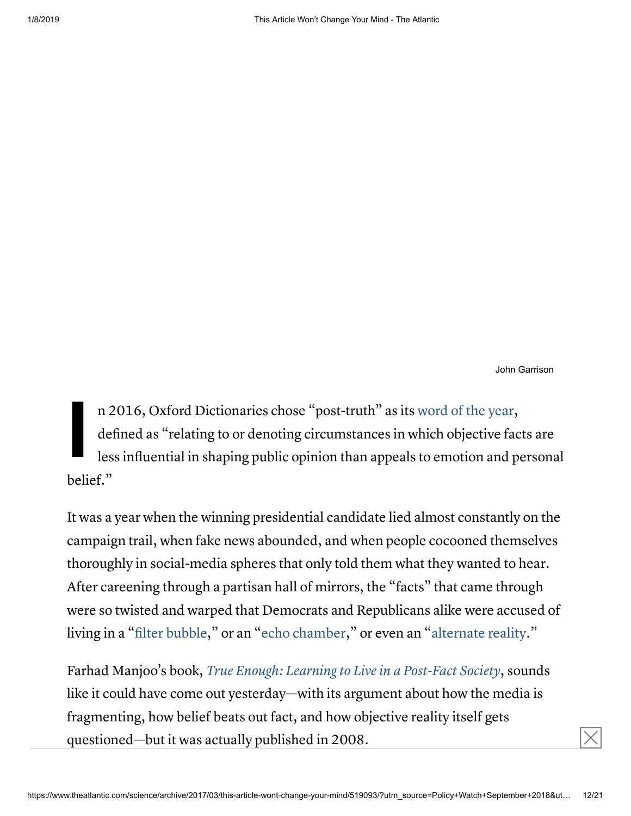John Garrison

 $\boxed{\times}$ 

**I** n 2016, Oxford Dictionaries chose "post-truth" as its [word](https://en.oxforddictionaries.com/word-of-the-year/word-of-the-year-2016) of the year, defined as "relating to or denoting circumstances in which objective facts are less influential in shaping public opinion than appeals to emotion and personal belief."

It was a year when the winning presidential candidate lied almost constantly on the campaign trail, when fake news abounded, and when people cocooned themselves thoroughly in social-media spheres that only told them what they wanted to hear. After careening through a partisan hall of mirrors, the "facts" that came through were so twisted and warped that Democrats and Republicans alike were accused of living in a "filter [bubble](https://www.wired.com/2016/11/filter-bubble-destroying-democracy/)," or an "echo [chamber,](https://www.brookings.edu/blog/techtank/2016/12/09/inside-the-social-media-echo-chamber/)" or even an "[alternate](http://theconversation.com/why-each-side-of-the-partisan-divide-thinks-the-other-is-living-in-an-alternate-reality-71458) reality."

Farhad Manjoo's book, True Enough: Learning to Live in a [Post-Fact](https://www.amazon.com/True-Enough-Learning-Post-Fact-Society/dp/1620458403) Society, sounds like it could have come out yesterday—with its argument about how the media is fragmenting, how belief beats out fact, and how objective reality itself gets questioned—but it was actually published in 2008.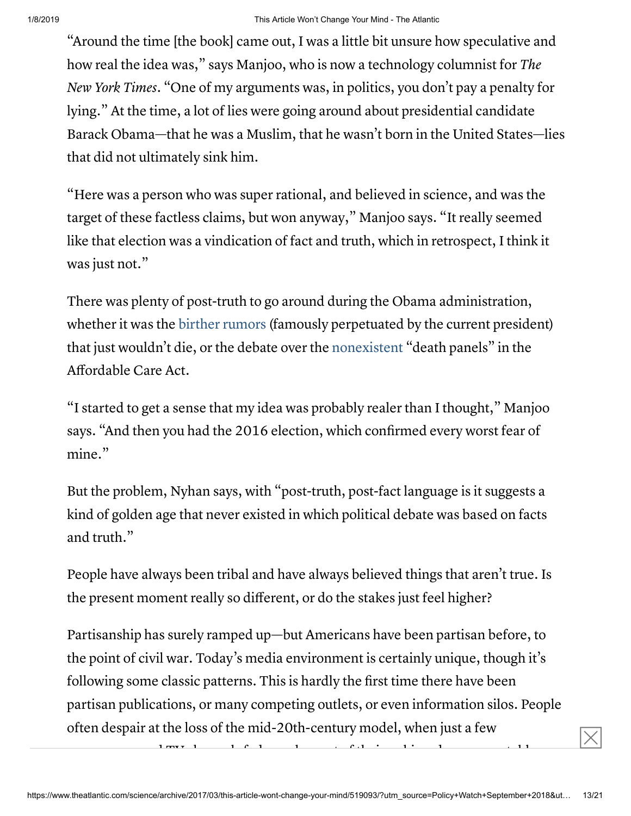"Around the time [the book] came out, I was a little bit unsure how speculative and how real the idea was," says Manjoo, who is now a technology columnist for The New York Times. "One of my arguments was, in politics, you don't pay a penalty for lying." At the time, a lot of lies were going around about presidential candidate Barack Obama—that he was a Muslim, that he wasn't born in the United States—lies that did not ultimately sink him.

"Here was a person who was super rational, and believed in science, and was the target of these factless claims, but won anyway," Manjoo says. "It really seemed like that election was a vindication of fact and truth, which in retrospect, I think it was just not."

There was plenty of post-truth to go around during the Obama administration, whether it was the birther [rumors](http://www.politico.com/story/2011/04/birtherism-where-it-all-began-053563?paginate=false) (famously perpetuated by the current president) that just wouldn't die, or the debate over the [nonexistent](http://www.politifact.com/truth-o-meter/article/2009/dec/18/politifact-lie-year-death-panels/) "death panels" in the Affordable Care Act.

"I started to get a sense that my idea was probably realer than I thought," Manjoo says. "And then you had the 2016 election, which confirmed every worst fear of mine."

But the problem, Nyhan says, with "post-truth, post-fact language is it suggests a kind of golden age that never existed in which political debate was based on facts and truth."

People have always been tribal and have always believed things that aren't true. Is the present moment really so different, or do the stakes just feel higher?

Partisanship has surely ramped up—but Americans have been partisan before, to the point of civil war. Today's media environment is certainly unique, though it's following some classic patterns. This is hardly the first time there have been partisan publications, or many competing outlets, or even information silos. People often despair at the loss of the mid-20th-century model, when just a few

newspapers and TV channels fed people most of their unbiased news vegetables.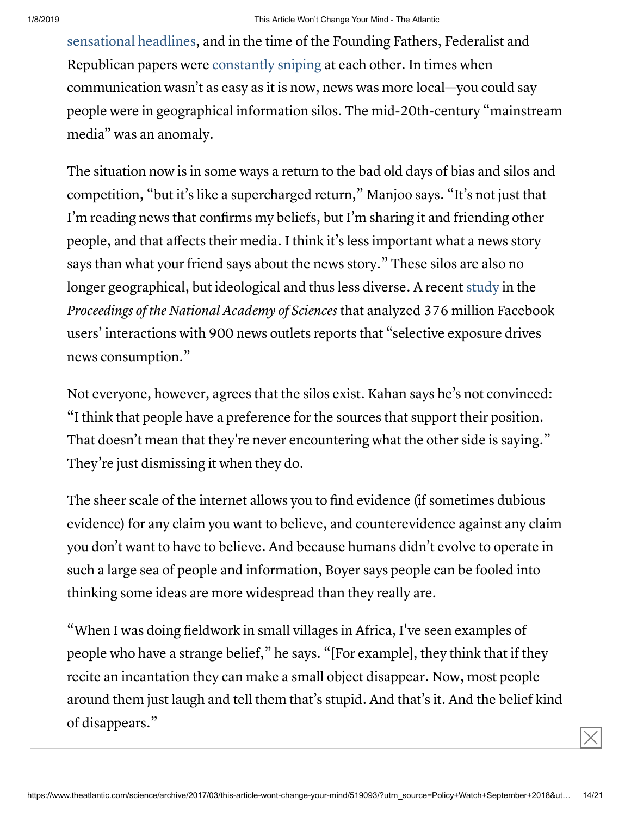[sensational](https://books.google.com/books?id=kDnWCgAAQBAJ&pg=PA63&lpg=PA63&dq=baptized+in+blood+headline&source=bl&ots=_y3s82ZNSE&sig=xfaIZyi_E5touKMy5oLu3ot7ANM&hl=en&sa=X&ved=0ahUKEwji2fPJosLSAhXqxVQKHbi6AOsQ6AEIWzAM#v=onepage&q=baptized%20in%20blood%20headline&f=false) headlines, and in the time of the Founding Fathers, Federalist and Republican papers were [constantly](https://books.google.com/books?id=7CrkXUA48P4C&pg=PA541#v=onepage&q&f=false) sniping at each other. In times when communication wasn't as easy as it is now, news was more local—you could say people were in geographical information silos. The mid-20th-century "mainstream media" was an anomaly.

The situation now is in some ways a return to the bad old days of bias and silos and competition, "but it's like a supercharged return," Manjoo says. "It's not just that I'm reading news that confirms my beliefs, but I'm sharing it and friending other people, and that affects their media. I think it's less important what a news story says than what your friend says about the news story." These silos are also no longer geographical, but ideological and thus less diverse. A recent [study](http://www.pnas.org/content/early/2017/02/28/1617052114) in the Proceedings of the National Academy of Sciences that analyzed 376 million Facebook users' interactions with 900 news outlets reports that "selective exposure drives news consumption."

Not everyone, however, agrees that the silos exist. Kahan says he's not convinced: "I think that people have a preference for the sources that support their position. That doesn't mean that they're never encountering what the other side is saying." They're just dismissing it when they do.

The sheer scale of the internet allows you to find evidence (if sometimes dubious evidence) for any claim you want to believe, and counterevidence against any claim you don't want to have to believe. And because humans didn't evolve to operate in such a large sea of people and information, Boyer says people can be fooled into thinking some ideas are more widespread than they really are.

"When I was doing fieldwork in small villages in Africa, I've seen examples of people who have a strange belief," he says. "[For example], they think that if they recite an incantation they can make a small object disappear. Now, most people around them just laugh and tell them that's stupid. And that's it. And the belief kind of disappears."  $\times$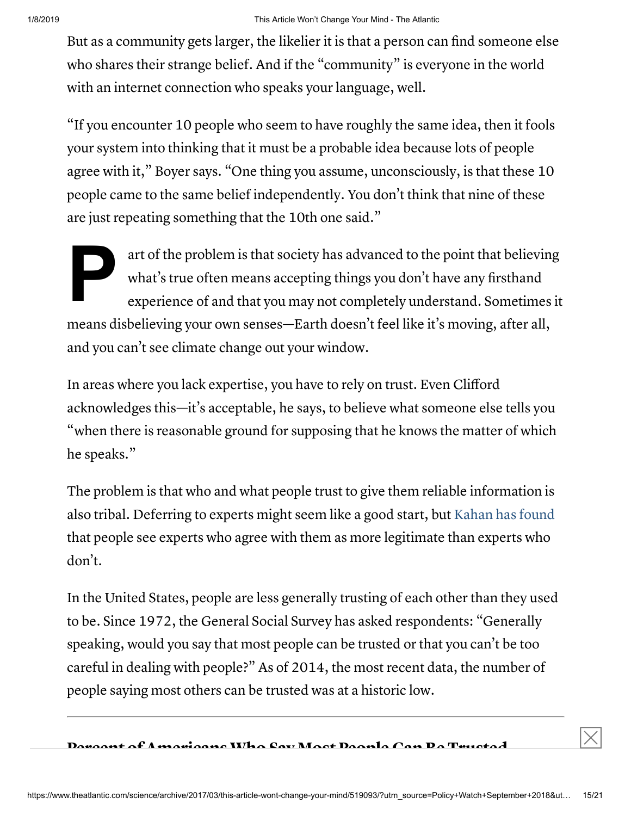But as a community gets larger, the likelier it is that a person can find someone else who shares their strange belief. And if the "community" is everyone in the world with an internet connection who speaks your language, well.

"If you encounter 10 people who seem to have roughly the same idea, then it fools your system into thinking that it must be a probable idea because lots of people agree with it," Boyer says. "One thing you assume, unconsciously, is that these 10 people came to the same belief independently. You don't think that nine of these are just repeating something that the 10th one said."

**P** art of the problem is that society has advanced to the point that believing what's true often means accepting things you don't have any firsthand experience of and that you may not completely understand. Sometimes it means disbelieving your own senses—Earth doesn't feel like it's moving, after all, and you can't see climate change out your window.

In areas where you lack expertise, you have to rely on trust. Even Clifford acknowledges this—it's acceptable, he says, to believe what someone else tells you "when there is reasonable ground for supposing that he knows the matter of which he speaks."

The problem is that who and what people trust to give them reliable information is also tribal. Deferring to experts might seem like a good start, but [Kahan](https://papers.ssrn.com/sol3/papers.cfm?abstract_id=1549444) has found that people see experts who agree with them as more legitimate than experts who don't.

In the United States, people are less generally trusting of each other than they used to be. Since 1972, the General Social Survey has asked respondents: "Generally speaking, would you say that most people can be trusted or that you can't be too careful in dealing with people?" As of 2014, the most recent data, the number of people saying most others can be trusted was at a historic low.

 $\mathbf{D}_{\alpha}$  and  $\mathbf{A}$  monicors Who Say Most Decule Can Be Trusted  $\vert\vert$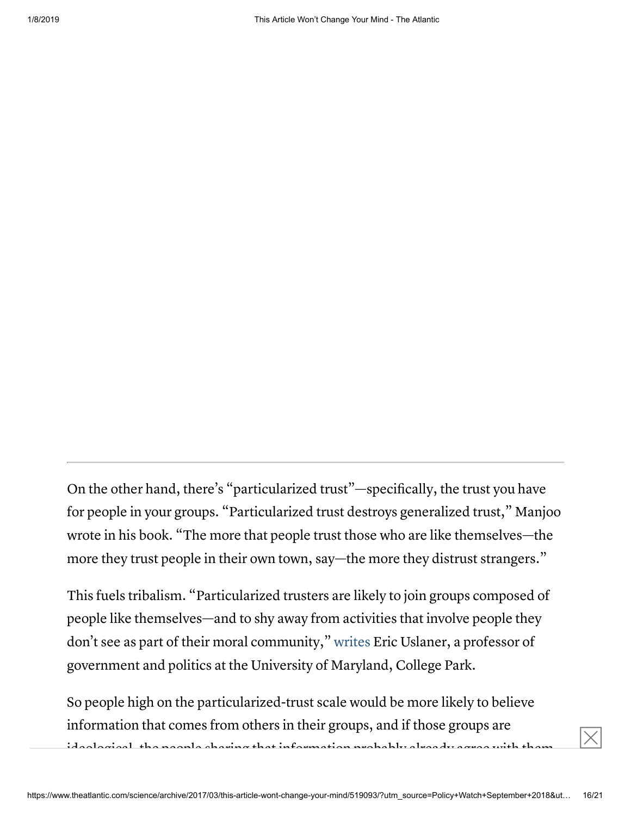On the other hand, there's "particularized trust"—specifically, the trust you have for people in your groups. "Particularized trust destroys generalized trust," Manjoo wrote in his book. "The more that people trust those who are like themselves—the more they trust people in their own town, say—the more they distrust strangers."

This fuels tribalism. "Particularized trusters are likely to join groups composed of people like themselves—and to shy away from activities that involve people they don't see as part of their moral community," [writes](http://siteresources.worldbank.org/EXTECAREGTOPSOCDEV/Resources/Uslaner_Trust_moral_value.pdf) Eric Uslaner, a professor of government and politics at the University of Maryland, College Park.

So people high on the particularized-trust scale would be more likely to believe information that comes from others in their groups, and if those groups are ideological, the people sharing that information probably already agree with them.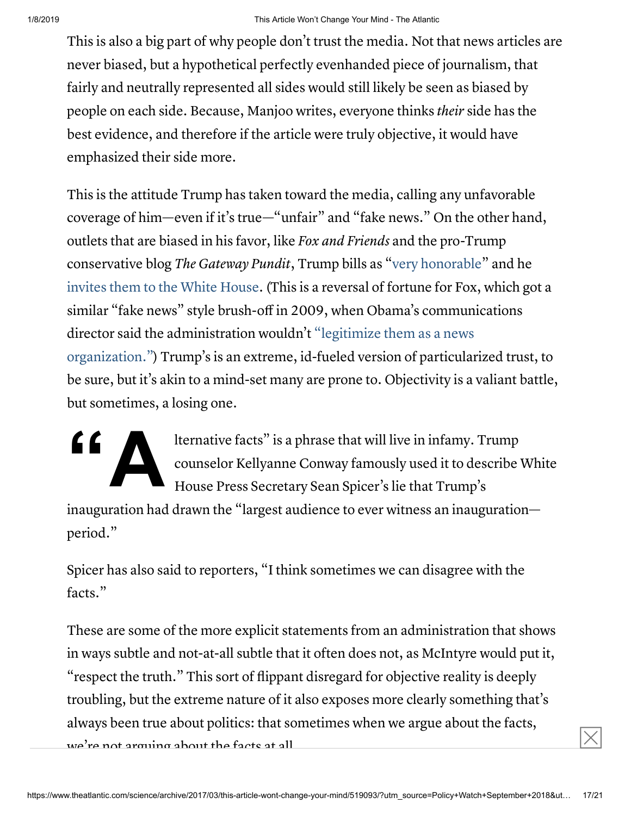This is also a big part of why people don't trust the media. Not that news articles are never biased, but a hypothetical perfectly evenhanded piece of journalism, that fairly and neutrally represented all sides would still likely be seen as biased by people on each side. Because, Manjoo writes, everyone thinks their side has the best evidence, and therefore if the article were truly objective, it would have emphasized their side more.

This is the attitude Trump has taken toward the media, calling any unfavorable coverage of him—even if it's true—"unfair" and "fake news." On the other hand, outlets that are biased in his favor, like Fox and Friends and the pro-Trump conservative blog The Gateway Pundit, Trump bills as "very [honorable"](http://www.foxnews.com/politics/2017/02/16/transcript-president-trumps-press-conference.html) and he [invites](https://www.nytimes.com/2017/02/13/business/the-gateway-pundit-trump.html) them to the White House. (This is a reversal of fortune for Fox, which got a similar "fake news" style brush-off in 2009, when Obama's communications director said the administration wouldn't "legitimize them as a news [organization."\)](http://www.nytimes.com/2009/10/12/business/media/12fox.html) Trump's is an extreme, id-fueled version of particularized trust, to be sure, but it's akin to a mind-set many are prone to. Objectivity is a valiant battle, but sometimes, a losing one.

 $\left( \begin{array}{c} \begin{array}{c} \begin{array}{c} \mathbf{1} \end{array} \\ \mathbf{1} \end{array} \right)$ lternative facts" is a phrase that will live in infamy. Trump counselor Kellyanne Conway famously used it to describe White House Press Secretary Sean Spicer's lie that Trump's

inauguration had drawn the "largest audience to ever witness an inauguration period."

Spicer has also said to reporters, "I think sometimes we can disagree with the facts."

These are some of the more explicit statements from an administration that shows in ways subtle and not-at-all subtle that it often does not, as McIntyre would put it, "respect the truth." This sort of flippant disregard for objective reality is deeply troubling, but the extreme nature of it also exposes more clearly something that's always been true about politics: that sometimes when we argue about the facts, we're not arguing about the facts at all.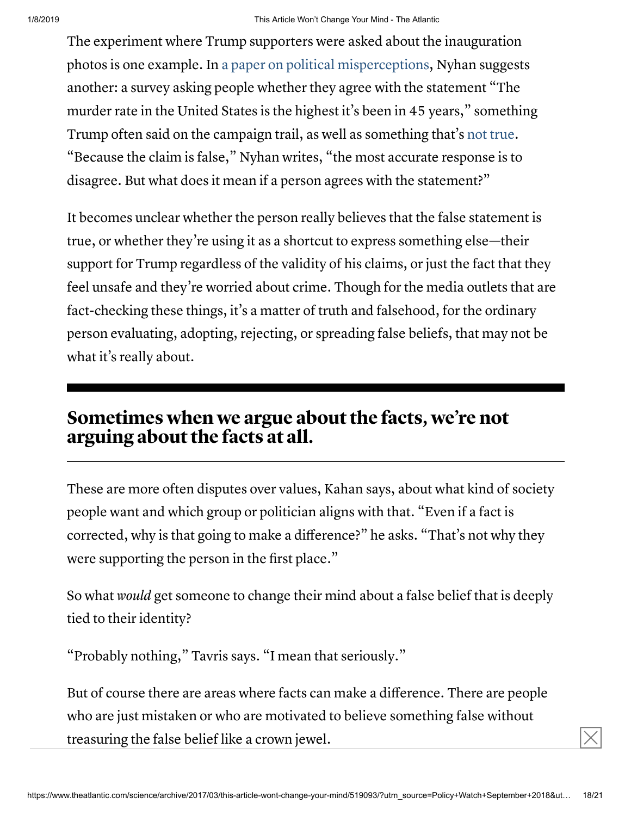The experiment where Trump supporters were asked about the inauguration photos is one example. In a paper on political [misperceptions,](http://www.dartmouth.edu/~nyhan/nature-origins-misperceptions.pdf) Nyhan suggests another: a survey asking people whether they agree with the statement "The murder rate in the United States is the highest it's been in 45 years," something Trump often said on the campaign trail, as well as something that's not [true](http://www.vox.com/2016/10/12/13255466/trump-murder-rate). "Because the claim is false," Nyhan writes, "the most accurate response is to disagree. But what does it mean if a person agrees with the statement?"

It becomes unclear whether the person really believes that the false statement is true, or whether they're using it as a shortcut to express something else—their support for Trump regardless of the validity of his claims, or just the fact that they feel unsafe and they're worried about crime. Though for the media outlets that are fact-checking these things, it's a matter of truth and falsehood, for the ordinary person evaluating, adopting, rejecting, or spreading false beliefs, that may not be what it's really about.

### Sometimes when we argue about the facts, we're not arguing about the facts at all.

These are more often disputes over values, Kahan says, about what kind of society people want and which group or politician aligns with that. "Even if a fact is corrected, why is that going to make a difference?" he asks. "That's not why they were supporting the person in the first place."

So what would get someone to change their mind about a false belief that is deeply tied to their identity?

"Probably nothing," Tavris says. "I mean that seriously."

But of course there are areas where facts can make a difference. There are people who are just mistaken or who are motivated to believe something false without treasuring the false belief like a crown jewel.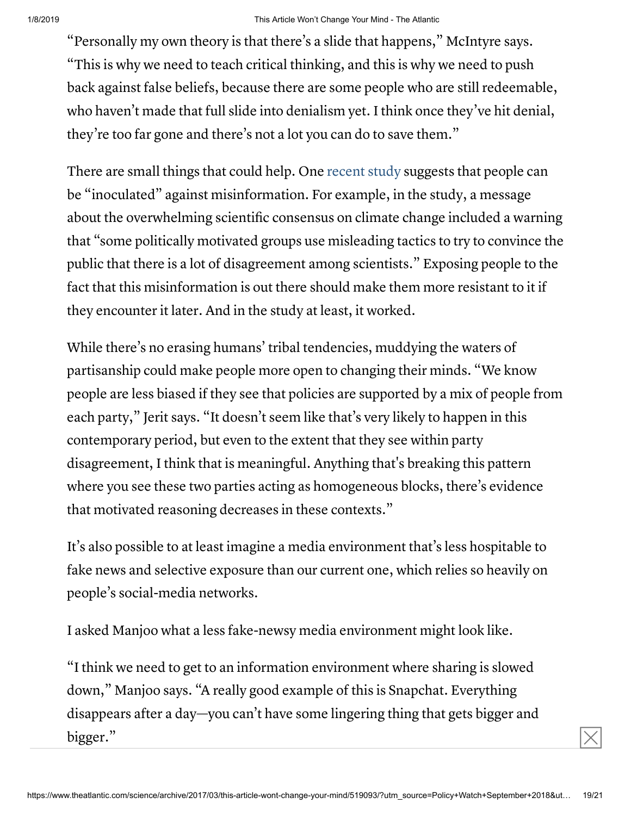#### 1/8/2019 This Article Won't Change Your Mind - The Atlantic

"Personally my own theory is that there's a slide that happens," McIntyre says. "This is why we need to teach critical thinking, and this is why we need to push back against false beliefs, because there are some people who are still redeemable, who haven't made that full slide into denialism yet. I think once they've hit denial, they're too far gone and there's not a lot you can do to save them."

There are small things that could help. One [recent](http://onlinelibrary.wiley.com/doi/10.1002/gch2.201600008/abstract?systemMessage=WOL+Usage+report+download+page+will+be+unavailable+on+Friday+27th+January+2017+at+23:00+GMT/+18:00+EST/+07:00+SGT+(Saturday+28th+Jan+for+SGT)++for+up+to+2+hours+due+to+essential+server+maintenance.+Apologies+for+the+inconvenience) study suggests that people can be "inoculated" against misinformation. For example, in the study, a message about the overwhelming scientific consensus on climate change included a warning that "some politically motivated groups use misleading tactics to try to convince the public that there is a lot of disagreement among scientists." Exposing people to the fact that this misinformation is out there should make them more resistant to it if they encounter it later. And in the study at least, it worked.

While there's no erasing humans' tribal tendencies, muddying the waters of partisanship could make people more open to changing their minds. "We know people are less biased if they see that policies are supported by a mix of people from each party," Jerit says. "It doesn't seem like that's very likely to happen in this contemporary period, but even to the extent that they see within party disagreement, I think that is meaningful. Anything that's breaking this pattern where you see these two parties acting as homogeneous blocks, there's evidence that motivated reasoning decreases in these contexts."

It's also possible to at least imagine a media environment that's less hospitable to fake news and selective exposure than our current one, which relies so heavily on people's social-media networks.

I asked Manjoo what a less fake-newsy media environment might look like.

"I think we need to get to an information environment where sharing is slowed down," Manjoo says. "A really good example of this is Snapchat. Everything disappears after a day—you can't have some lingering thing that gets bigger and bigger."  $\boxed{\times}$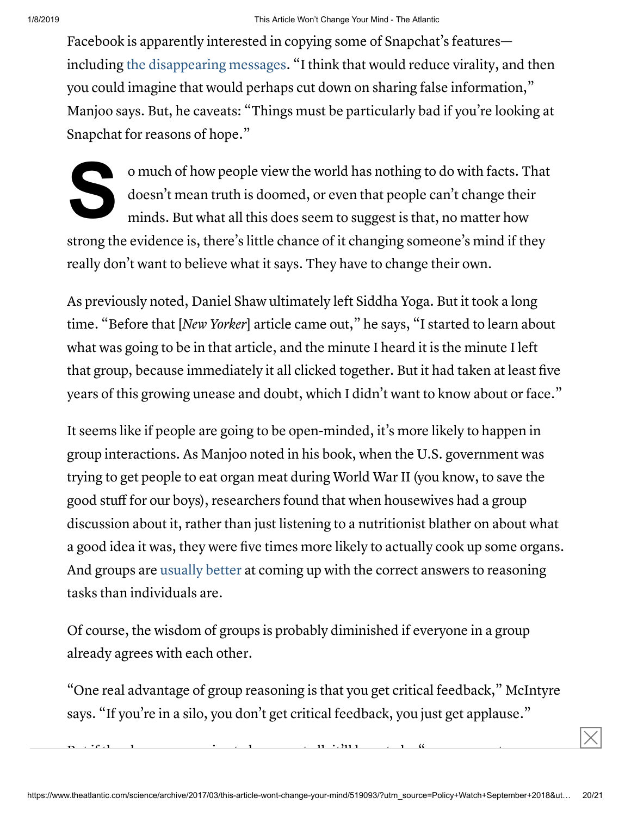Facebook is apparently interested in copying some of Snapchat's features including the [disappearing messages.](http://fortune.com/2016/09/30/facebook-copy-snapchat/) "I think that would reduce virality, and then you could imagine that would perhaps cut down on sharing false information," Manjoo says. But, he caveats: "Things must be particularly bad if you're looking at Snapchat for reasons of hope."

S<sup>ª</sup> o much of how people view the world has nothing to do with facts. That doesn't mean truth is doomed, or even that people can't change their minds. But what all this does seem to suggest is that, no matter how strong the evidence is, there's little chance of it changing someone's mind if they really don't want to believe what it says. They have to change their own.

As previously noted, Daniel Shaw ultimately left Siddha Yoga. But it took a long time. "Before that [New Yorker] article came out," he says, "I started to learn about what was going to be in that article, and the minute I heard it is the minute I left that group, because immediately it all clicked together. But it had taken at least five years of this growing unease and doubt, which I didn't want to know about or face."

It seems like if people are going to be open-minded, it's more likely to happen in group interactions. As Manjoo noted in his book, when the U.S. government was trying to get people to eat organ meat during World War II (you know, to save the good stuff for our boys), researchers found that when housewives had a group discussion about it, rather than just listening to a nutritionist blather on about what a good idea it was, they were five times more likely to actually cook up some organs. And groups are [usually](http://www.apa.org/pubs/highlights/peeps/issue-36.aspx) better at coming up with the correct answers to reasoning tasks than individuals are.

Of course, the wisdom of groups is probably diminished if everyone in a group already agrees with each other.

"One real advantage of group reasoning is that you get critical feedback," McIntyre says. "If you're in a silo, you don't get critical feedback, you just get applause."

But if the changes are going to happen at all, it'll have to be "on a person-to-person